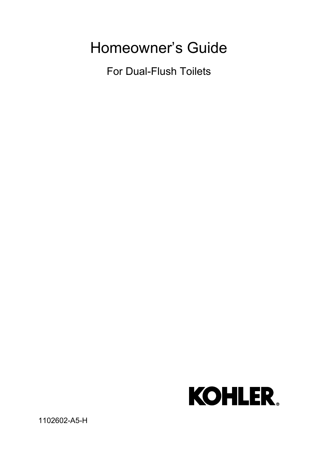# Homeowner's Guide

For Dual-Flush Toilets



1102602-A5-H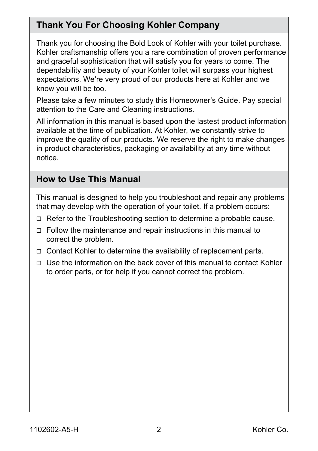## **Thank You For Choosing Kohler Company**

Thank you for choosing the Bold Look of Kohler with your toilet purchase. Kohler craftsmanship offers you a rare combination of proven performance and graceful sophistication that will satisfy you for years to come. The dependability and beauty of your Kohler toilet will surpass your highest expectations. We're very proud of our products here at Kohler and we know you will be too.

Please take a few minutes to study this Homeowner's Guide. Pay special attention to the Care and Cleaning instructions.

All information in this manual is based upon the lastest product information available at the time of publication. At Kohler, we constantly strive to improve the quality of our products. We reserve the right to make changes in product characteristics, packaging or availability at any time without notice.

#### **How to Use This Manual**

This manual is designed to help you troubleshoot and repair any problems that may develop with the operation of your toilet. If a problem occurs:

- $\Box$  Refer to the Troubleshooting section to determine a probable cause.
- $\Box$  Follow the maintenance and repair instructions in this manual to correct the problem.
- $\Box$  Contact Kohler to determine the availability of replacement parts.
- Use the information on the back cover of this manual to contact Kohler to order parts, or for help if you cannot correct the problem.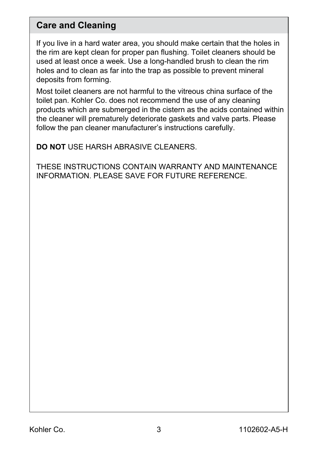#### **Care and Cleaning**

If you live in a hard water area, you should make certain that the holes in the rim are kept clean for proper pan flushing. Toilet cleaners should be used at least once a week. Use a long-handled brush to clean the rim holes and to clean as far into the trap as possible to prevent mineral deposits from forming.

Most toilet cleaners are not harmful to the vitreous china surface of the toilet pan. Kohler Co. does not recommend the use of any cleaning products which are submerged in the cistern as the acids contained within the cleaner will prematurely deteriorate gaskets and valve parts. Please follow the pan cleaner manufacturer's instructions carefully.

**DO NOT** USE HARSH ABRASIVE CLEANERS.

THESE INSTRUCTIONS CONTAIN WARRANTY AND MAINTENANCE INFORMATION. PLEASE SAVE FOR FUTURE REFERENCE.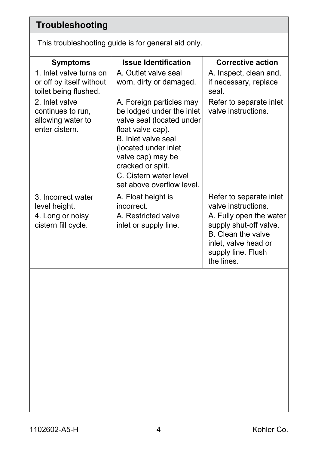# **Troubleshooting**

This troubleshooting guide is for general aid only.

| <b>Symptoms</b>                                                              | <b>Issue Identification</b>                                                                                                                                                                                                                             | <b>Corrective action</b>                                                                                                            |
|------------------------------------------------------------------------------|---------------------------------------------------------------------------------------------------------------------------------------------------------------------------------------------------------------------------------------------------------|-------------------------------------------------------------------------------------------------------------------------------------|
| 1. Inlet valve turns on<br>or off by itself without<br>toilet being flushed. | A. Outlet valve seal<br>worn, dirty or damaged.                                                                                                                                                                                                         | A. Inspect, clean and,<br>if necessary, replace<br>seal.                                                                            |
| 2. Inlet valve<br>continues to run,<br>allowing water to<br>enter cistern.   | A. Foreign particles may<br>be lodged under the inlet<br>valve seal (located under<br>float valve cap).<br>B. Inlet valve seal<br>(located under inlet<br>valve cap) may be<br>cracked or split.<br>C. Cistern water level<br>set above overflow level. | Refer to separate inlet<br>valve instructions.                                                                                      |
| 3. Incorrect water<br>level height.                                          | A. Float height is<br>incorrect.                                                                                                                                                                                                                        | Refer to separate inlet<br>valve instructions.                                                                                      |
| 4. Long or noisy<br>cistern fill cycle.                                      | A. Restricted valve<br>inlet or supply line.                                                                                                                                                                                                            | A. Fully open the water<br>supply shut-off valve.<br>B. Clean the valve<br>inlet, valve head or<br>supply line. Flush<br>the lines. |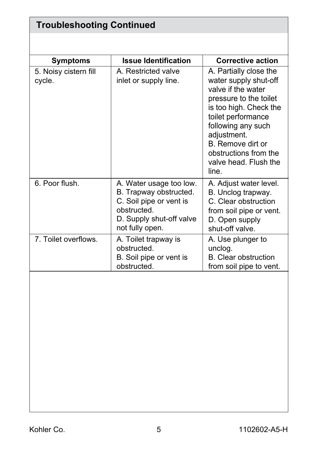| <b>Troubleshooting Continued</b> |                                                                                                                                            |                                                                                                                                                                                                                                                                      |  |
|----------------------------------|--------------------------------------------------------------------------------------------------------------------------------------------|----------------------------------------------------------------------------------------------------------------------------------------------------------------------------------------------------------------------------------------------------------------------|--|
|                                  |                                                                                                                                            |                                                                                                                                                                                                                                                                      |  |
| <b>Symptoms</b>                  | <b>Issue Identification</b>                                                                                                                | <b>Corrective action</b>                                                                                                                                                                                                                                             |  |
| 5. Noisy cistern fill<br>cycle.  | A. Restricted valve<br>inlet or supply line.                                                                                               | A. Partially close the<br>water supply shut-off<br>valve if the water<br>pressure to the toilet<br>is too high. Check the<br>toilet performance<br>following any such<br>adjustment.<br>B. Remove dirt or<br>obstructions from the<br>valve head. Flush the<br>line. |  |
| 6. Poor flush.                   | A. Water usage too low.<br>B. Trapway obstructed.<br>C. Soil pipe or vent is<br>obstructed.<br>D. Supply shut-off valve<br>not fully open. | A. Adjust water level.<br>B. Unclog trapway.<br>C. Clear obstruction<br>from soil pipe or vent.<br>D. Open supply<br>shut-off valve.                                                                                                                                 |  |
| 7. Toilet overflows.             | A. Toilet trapway is<br>obstructed.<br>B. Soil pipe or vent is<br>obstructed.                                                              | A. Use plunger to<br>unclog.<br><b>B.</b> Clear obstruction<br>from soil pipe to vent.                                                                                                                                                                               |  |
|                                  |                                                                                                                                            |                                                                                                                                                                                                                                                                      |  |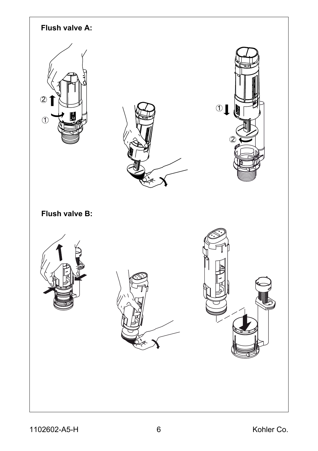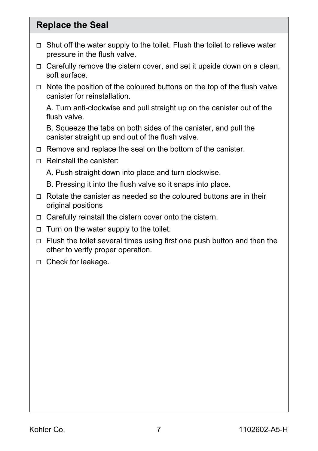#### **Replace the Seal**

- Shut off the water supply to the toilet. Flush the toilet to relieve water pressure in the flush valve.
- $\Box$  Carefully remove the cistern cover, and set it upside down on a clean, soft surface.
- $\Box$  Note the position of the coloured buttons on the top of the flush valve canister for reinstallation.

A. Turn anti-clockwise and pull straight up on the canister out of the flush valve.

B. Squeeze the tabs on both sides of the canister, and pull the canister straight up and out of the flush valve.

- □ Remove and replace the seal on the bottom of the canister.
- $\Box$  Reinstall the canister:
	- A. Push straight down into place and turn clockwise.
	- B. Pressing it into the flush valve so it snaps into place.
- Rotate the canister as needed so the coloured buttons are in their original positions
- $\Box$  Carefully reinstall the cistern cover onto the cistern.
- $\Box$  Turn on the water supply to the toilet.
- Flush the toilet several times using first one push button and then the other to verify proper operation.
- □ Check for leakage.